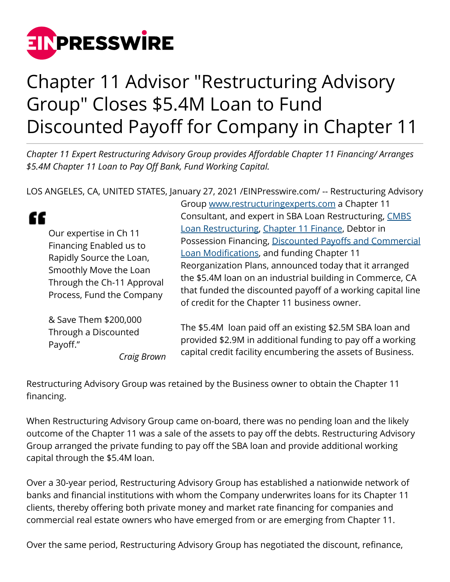

Payoff."

## Chapter 11 Advisor "Restructuring Advisory Group" Closes \$5.4M Loan to Fund Discounted Payoff for Company in Chapter 11

*Chapter 11 Expert Restructuring Advisory Group provides Affordable Chapter 11 Financing/ Arranges \$5.4M Chapter 11 Loan to Pay Off Bank, Fund Working Capital.*

LOS ANGELES, CA, UNITED STATES, January 27, 2021 [/EINPresswire.com](http://www.einpresswire.com)/ -- Restructuring Advisory

|                                                                                                                                                                    | <u>s sip minimisedi sisteming ship si teneemi</u> er en isip ten |
|--------------------------------------------------------------------------------------------------------------------------------------------------------------------|------------------------------------------------------------------|
|                                                                                                                                                                    | Consultant, and expert in SBA Loan Restructuring, CMBS           |
| Our expertise in Ch 11<br>Financing Enabled us to<br>Rapidly Source the Loan,<br>Smoothly Move the Loan<br>Through the Ch-11 Approval<br>Process, Fund the Company | Loan Restructuring, Chapter 11 Finance, Debtor in                |
|                                                                                                                                                                    | Possession Financing, Discounted Payoffs and Commercial          |
|                                                                                                                                                                    | Loan Modifications, and funding Chapter 11                       |
|                                                                                                                                                                    | Reorganization Plans, announced today that it arranged           |
|                                                                                                                                                                    | the \$5.4M loan on an industrial building in Commerce, CA        |
|                                                                                                                                                                    | that funded the discounted payoff of a working capital line      |
|                                                                                                                                                                    | of credit for the Chapter 11 business owner.                     |
| & Save Them \$200,000<br>Through a Discounted                                                                                                                      | The \$5.4M loan paid off an existing \$2.5M SBA loan and         |

provided \$2.9M in additional funding to pay off a working capital credit facility encumbering the assets of Business.

Group [www.restructuringexperts.com](http://www.restructuringexperts.com) a Chapter 11

Restructuring Advisory Group was retained by the Business owner to obtain the Chapter 11 financing.

*Craig Brown*

When Restructuring Advisory Group came on-board, there was no pending loan and the likely outcome of the Chapter 11 was a sale of the assets to pay off the debts. Restructuring Advisory Group arranged the private funding to pay off the SBA loan and provide additional working capital through the \$5.4M loan.

Over a 30-year period, Restructuring Advisory Group has established a nationwide network of banks and financial institutions with whom the Company underwrites loans for its Chapter 11 clients, thereby offering both private money and market rate financing for companies and commercial real estate owners who have emerged from or are emerging from Chapter 11.

Over the same period, Restructuring Advisory Group has negotiated the discount, refinance,